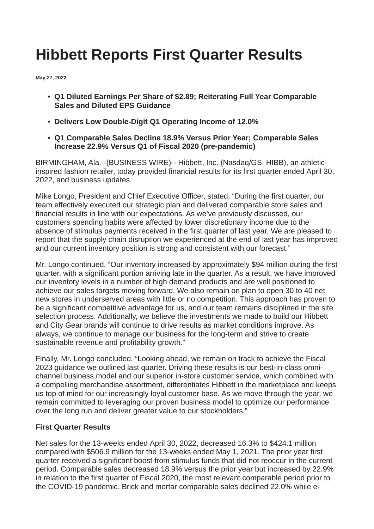# **Hibbett Reports First Quarter Results**

**May 27, 2022**

- **Q1 Diluted Earnings Per Share of \$2.89; Reiterating Full Year Comparable Sales and Diluted EPS Guidance**
- **Delivers Low Double-Digit Q1 Operating Income of 12.0%**
- **Q1 Comparable Sales Decline 18.9% Versus Prior Year; Comparable Sales Increase 22.9% Versus Q1 of Fiscal 2020 (pre-pandemic)**

BIRMINGHAM, Ala.--(BUSINESS WIRE)-- Hibbett, Inc. (Nasdaq/GS: HIBB), an athleticinspired fashion retailer, today provided financial results for its first quarter ended April 30, 2022, and business updates.

Mike Longo, President and Chief Executive Officer, stated, "During the first quarter, our team effectively executed our strategic plan and delivered comparable store sales and financial results in line with our expectations. As we've previously discussed, our customers spending habits were affected by lower discretionary income due to the absence of stimulus payments received in the first quarter of last year. We are pleased to report that the supply chain disruption we experienced at the end of last year has improved and our current inventory position is strong and consistent with our forecast."

Mr. Longo continued, "Our inventory increased by approximately \$94 million during the first quarter, with a significant portion arriving late in the quarter. As a result, we have improved our inventory levels in a number of high demand products and are well positioned to achieve our sales targets moving forward. We also remain on plan to open 30 to 40 net new stores in underserved areas with little or no competition. This approach has proven to be a significant competitive advantage for us, and our team remains disciplined in the site selection process. Additionally, we believe the investments we made to build our Hibbett and City Gear brands will continue to drive results as market conditions improve. As always, we continue to manage our business for the long-term and strive to create sustainable revenue and profitability growth."

Finally, Mr. Longo concluded, "Looking ahead, we remain on track to achieve the Fiscal 2023 guidance we outlined last quarter. Driving these results is our best-in-class omnichannel business model and our superior in-store customer service, which combined with a compelling merchandise assortment, differentiates Hibbett in the marketplace and keeps us top of mind for our increasingly loyal customer base. As we move through the year, we remain committed to leveraging our proven business model to optimize our performance over the long run and deliver greater value to our stockholders."

### **First Quarter Results**

Net sales for the 13-weeks ended April 30, 2022, decreased 16.3% to \$424.1 million compared with \$506.9 million for the 13-weeks ended May 1, 2021. The prior year first quarter received a significant boost from stimulus funds that did not reoccur in the current period. Comparable sales decreased 18.9% versus the prior year but increased by 22.9% in relation to the first quarter of Fiscal 2020, the most relevant comparable period prior to the COVID-19 pandemic. Brick and mortar comparable sales declined 22.0% while e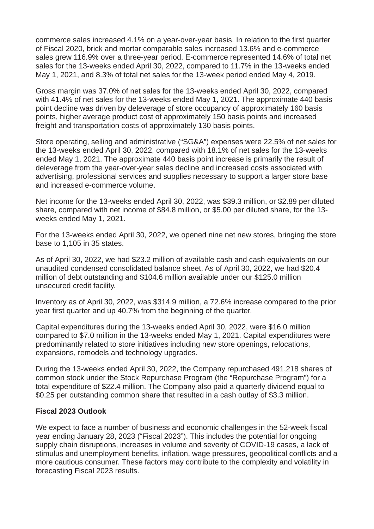commerce sales increased 4.1% on a year-over-year basis. In relation to the first quarter of Fiscal 2020, brick and mortar comparable sales increased 13.6% and e-commerce sales grew 116.9% over a three-year period. E-commerce represented 14.6% of total net sales for the 13-weeks ended April 30, 2022, compared to 11.7% in the 13-weeks ended May 1, 2021, and 8.3% of total net sales for the 13-week period ended May 4, 2019.

Gross margin was 37.0% of net sales for the 13-weeks ended April 30, 2022, compared with 41.4% of net sales for the 13-weeks ended May 1, 2021. The approximate 440 basis point decline was driven by deleverage of store occupancy of approximately 160 basis points, higher average product cost of approximately 150 basis points and increased freight and transportation costs of approximately 130 basis points.

Store operating, selling and administrative ("SG&A") expenses were 22.5% of net sales for the 13-weeks ended April 30, 2022, compared with 18.1% of net sales for the 13-weeks ended May 1, 2021. The approximate 440 basis point increase is primarily the result of deleverage from the year-over-year sales decline and increased costs associated with advertising, professional services and supplies necessary to support a larger store base and increased e-commerce volume.

Net income for the 13-weeks ended April 30, 2022, was \$39.3 million, or \$2.89 per diluted share, compared with net income of \$84.8 million, or \$5.00 per diluted share, for the 13 weeks ended May 1, 2021.

For the 13-weeks ended April 30, 2022, we opened nine net new stores, bringing the store base to 1,105 in 35 states.

As of April 30, 2022, we had \$23.2 million of available cash and cash equivalents on our unaudited condensed consolidated balance sheet. As of April 30, 2022, we had \$20.4 million of debt outstanding and \$104.6 million available under our \$125.0 million unsecured credit facility.

Inventory as of April 30, 2022, was \$314.9 million, a 72.6% increase compared to the prior year first quarter and up 40.7% from the beginning of the quarter.

Capital expenditures during the 13-weeks ended April 30, 2022, were \$16.0 million compared to \$7.0 million in the 13-weeks ended May 1, 2021. Capital expenditures were predominantly related to store initiatives including new store openings, relocations, expansions, remodels and technology upgrades.

During the 13-weeks ended April 30, 2022, the Company repurchased 491,218 shares of common stock under the Stock Repurchase Program (the "Repurchase Program") for a total expenditure of \$22.4 million. The Company also paid a quarterly dividend equal to \$0.25 per outstanding common share that resulted in a cash outlay of \$3.3 million.

### **Fiscal 2023 Outlook**

We expect to face a number of business and economic challenges in the 52-week fiscal year ending January 28, 2023 ("Fiscal 2023"). This includes the potential for ongoing supply chain disruptions, increases in volume and severity of COVID-19 cases, a lack of stimulus and unemployment benefits, inflation, wage pressures, geopolitical conflicts and a more cautious consumer. These factors may contribute to the complexity and volatility in forecasting Fiscal 2023 results.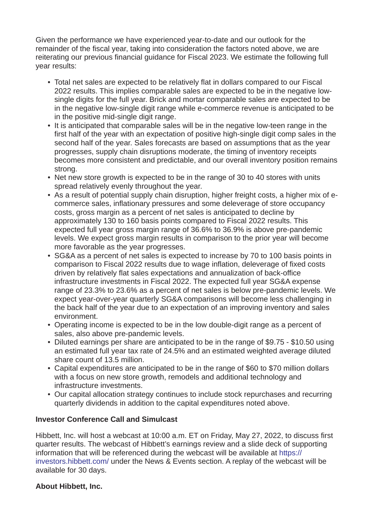Given the performance we have experienced year-to-date and our outlook for the remainder of the fiscal year, taking into consideration the factors noted above, we are reiterating our previous financial guidance for Fiscal 2023. We estimate the following full year results:

- Total net sales are expected to be relatively flat in dollars compared to our Fiscal 2022 results. This implies comparable sales are expected to be in the negative lowsingle digits for the full year. Brick and mortar comparable sales are expected to be in the negative low-single digit range while e-commerce revenue is anticipated to be in the positive mid-single digit range.
- It is anticipated that comparable sales will be in the negative low-teen range in the first half of the year with an expectation of positive high-single digit comp sales in the second half of the year. Sales forecasts are based on assumptions that as the year progresses, supply chain disruptions moderate, the timing of inventory receipts becomes more consistent and predictable, and our overall inventory position remains strong.
- Net new store growth is expected to be in the range of 30 to 40 stores with units spread relatively evenly throughout the year.
- As a result of potential supply chain disruption, higher freight costs, a higher mix of ecommerce sales, inflationary pressures and some deleverage of store occupancy costs, gross margin as a percent of net sales is anticipated to decline by approximately 130 to 160 basis points compared to Fiscal 2022 results. This expected full year gross margin range of 36.6% to 36.9% is above pre-pandemic levels. We expect gross margin results in comparison to the prior year will become more favorable as the year progresses.
- SG&A as a percent of net sales is expected to increase by 70 to 100 basis points in comparison to Fiscal 2022 results due to wage inflation, deleverage of fixed costs driven by relatively flat sales expectations and annualization of back-office infrastructure investments in Fiscal 2022. The expected full year SG&A expense range of 23.3% to 23.6% as a percent of net sales is below pre-pandemic levels. We expect year-over-year quarterly SG&A comparisons will become less challenging in the back half of the year due to an expectation of an improving inventory and sales environment.
- Operating income is expected to be in the low double-digit range as a percent of sales, also above pre-pandemic levels.
- Diluted earnings per share are anticipated to be in the range of \$9.75 \$10.50 using an estimated full year tax rate of 24.5% and an estimated weighted average diluted share count of 13.5 million.
- Capital expenditures are anticipated to be in the range of \$60 to \$70 million dollars with a focus on new store growth, remodels and additional technology and infrastructure investments.
- Our capital allocation strategy continues to include stock repurchases and recurring quarterly dividends in addition to the capital expenditures noted above.

## **Investor Conference Call and Simulcast**

Hibbett, Inc. will host a webcast at 10:00 a.m. ET on Friday, May 27, 2022, to discuss first quarter results. The webcast of Hibbett's earnings review and a slide deck of supporting information that will be referenced during the webcast will be available at https:// [investors.hibbett.com/ under the News & Events section. A replay of the webcast](https://cts.businesswire.com/ct/CT?id=smartlink&url=https%3A%2F%2Finvestors.hibbett.com%2F&esheet=52732230&newsitemid=20220527005038&lan=en-US&anchor=https%3A%2F%2Finvestors.hibbett.com%2F&index=1&md5=89125ba52782a6a8ce11552737766561) will be available for 30 days.

## **About Hibbett, Inc.**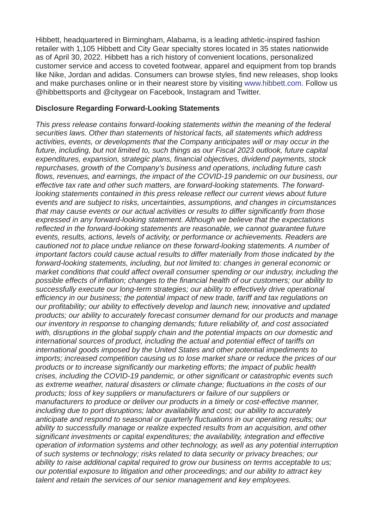Hibbett, headquartered in Birmingham, Alabama, is a leading athletic-inspired fashion retailer with 1,105 Hibbett and City Gear specialty stores located in 35 states nationwide as of April 30, 2022. Hibbett has a rich history of convenient locations, personalized customer service and access to coveted footwear, apparel and equipment from top brands like Nike, Jordan and adidas. Consumers can browse styles, find new releases, shop looks and make purchases online or in their nearest store by visiting [www.hibbett.com.](https://cts.businesswire.com/ct/CT?id=smartlink&url=http%3A%2F%2Fwww.hibbett.com&esheet=52732230&newsitemid=20220527005038&lan=en-US&anchor=www.hibbett.com&index=2&md5=c7f7bc5446354ea7fee13001da884d4c) Follow us @hibbettsports and @citygear on Facebook, Instagram and Twitter.

#### **Disclosure Regarding Forward-Looking Statements**

*This press release contains forward-looking statements within the meaning of the federal securities laws. Other than statements of historical facts, all statements which address activities, events, or developments that the Company anticipates will or may occur in the future, including, but not limited to, such things as our Fiscal 2023 outlook, future capital expenditures, expansion, strategic plans, financial objectives, dividend payments, stock repurchases, growth of the Company's business and operations, including future cash flows, revenues, and earnings, the impact of the COVID-19 pandemic on our business, our effective tax rate and other such matters, are forward-looking statements. The forwardlooking statements contained in this press release reflect our current views about future events and are subject to risks, uncertainties, assumptions, and changes in circumstances that may cause events or our actual activities or results to differ significantly from those expressed in any forward-looking statement. Although we believe that the expectations reflected in the forward-looking statements are reasonable, we cannot guarantee future events, results, actions, levels of activity, or performance or achievements. Readers are cautioned not to place undue reliance on these forward-looking statements. A number of important factors could cause actual results to differ materially from those indicated by the forward-looking statements, including, but not limited to: changes in general economic or market conditions that could affect overall consumer spending or our industry, including the possible effects of inflation; changes to the financial health of our customers; our ability to successfully execute our long-term strategies; our ability to effectively drive operational efficiency in our business; the potential impact of new trade, tariff and tax regulations on our profitability; our ability to effectively develop and launch new, innovative and updated products; our ability to accurately forecast consumer demand for our products and manage our inventory in response to changing demands; future reliability of, and cost associated with, disruptions in the global supply chain and the potential impacts on our domestic and international sources of product, including the actual and potential effect of tariffs on international goods imposed by the United States and other potential impediments to imports; increased competition causing us to lose market share or reduce the prices of our products or to increase significantly our marketing efforts; the impact of public health crises, including the COVID-19 pandemic, or other significant or catastrophic events such as extreme weather, natural disasters or climate change; fluctuations in the costs of our products; loss of key suppliers or manufacturers or failure of our suppliers or manufacturers to produce or deliver our products in a timely or cost-effective manner, including due to port disruptions; labor availability and cost; our ability to accurately anticipate and respond to seasonal or quarterly fluctuations in our operating results; our ability to successfully manage or realize expected results from an acquisition, and other significant investments or capital expenditures; the availability, integration and effective operation of information systems and other technology, as well as any potential interruption of such systems or technology; risks related to data security or privacy breaches; our ability to raise additional capital required to grow our business on terms acceptable to us; our potential exposure to litigation and other proceedings; and our ability to attract key talent and retain the services of our senior management and key employees.*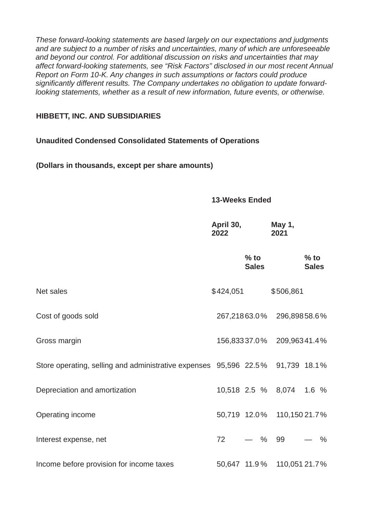*These forward-looking statements are based largely on our expectations and judgments and are subject to a number of risks and uncertainties, many of which are unforeseeable and beyond our control. For additional discussion on risks and uncertainties that may affect forward-looking statements, see "Risk Factors" disclosed in our most recent Annual Report on Form 10-K. Any changes in such assumptions or factors could produce significantly different results. The Company undertakes no obligation to update forwardlooking statements, whether as a result of new information, future events, or otherwise.*

#### **HIBBETT, INC. AND SUBSIDIARIES**

### **Unaudited Condensed Consolidated Statements of Operations**

**(Dollars in thousands, except per share amounts)**

#### **13-Weeks Ended**

|                                                                                | April 30,<br>2022      | May 1,<br>2021             |
|--------------------------------------------------------------------------------|------------------------|----------------------------|
|                                                                                | $%$ to<br><b>Sales</b> | $%$ to<br><b>Sales</b>     |
| Net sales                                                                      | \$424,051              | \$506,861                  |
| Cost of goods sold                                                             |                        | 267,21863.0% 296,89858.6%  |
| Gross margin                                                                   | 156,83337.0%           | 209,96341.4%               |
| Store operating, selling and administrative expenses 95,596 22.5% 91,739 18.1% |                        |                            |
| Depreciation and amortization                                                  |                        | 10,518 2.5 % 8,074 1.6 %   |
| Operating income                                                               |                        | 50,719 12.0% 110,150 21.7% |
| Interest expense, net                                                          | 72<br>— %              | 99<br>$\frac{0}{0}$        |
| Income before provision for income taxes                                       | 50,647 11.9 %          | 110,051 21.7%              |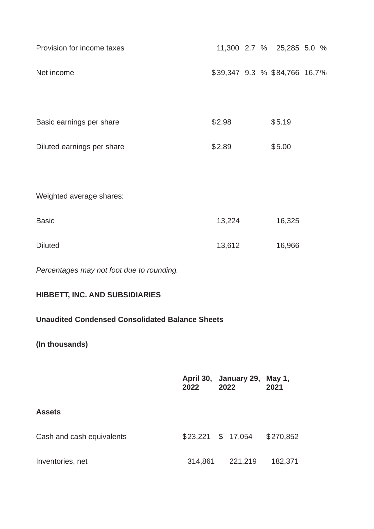| Provision for income taxes                             |                                      |        |         | 11,300 2.7 % 25,285 5.0 %     |  |
|--------------------------------------------------------|--------------------------------------|--------|---------|-------------------------------|--|
| Net income                                             |                                      |        |         | \$39,347 9.3 % \$84,766 16.7% |  |
|                                                        |                                      |        |         |                               |  |
| Basic earnings per share                               |                                      | \$2.98 |         | \$5.19                        |  |
| Diluted earnings per share                             |                                      | \$2.89 |         | \$5.00                        |  |
|                                                        |                                      |        |         |                               |  |
| Weighted average shares:                               |                                      |        |         |                               |  |
| <b>Basic</b>                                           |                                      | 13,224 |         | 16,325                        |  |
| <b>Diluted</b>                                         |                                      | 13,612 |         | 16,966                        |  |
| Percentages may not foot due to rounding.              |                                      |        |         |                               |  |
| HIBBETT, INC. AND SUBSIDIARIES                         |                                      |        |         |                               |  |
| <b>Unaudited Condensed Consolidated Balance Sheets</b> |                                      |        |         |                               |  |
| (In thousands)                                         |                                      |        |         |                               |  |
|                                                        | April 30, January 29, May 1,<br>2022 | 2022   |         | 2021                          |  |
| <b>Assets</b>                                          |                                      |        |         |                               |  |
| Cash and cash equivalents                              |                                      |        |         | \$23,221 \$ 17,054 \$270,852  |  |
| Inventories, net                                       | 314,861                              |        | 221,219 | 182,371                       |  |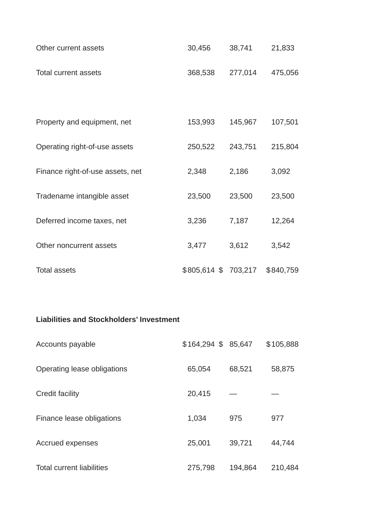| Other current assets | 30.456 | 38,741                  | 21,833 |
|----------------------|--------|-------------------------|--------|
| Total current assets |        | 368.538 277.014 475.056 |        |

| Property and equipment, net      | 153,993             | 145,967 | 107,501   |
|----------------------------------|---------------------|---------|-----------|
| Operating right-of-use assets    | 250,522             | 243,751 | 215,804   |
| Finance right-of-use assets, net | 2,348               | 2,186   | 3,092     |
| Tradename intangible asset       | 23,500              | 23,500  | 23,500    |
| Deferred income taxes, net       | 3,236               | 7,187   | 12,264    |
| Other noncurrent assets          | 3,477               | 3,612   | 3,542     |
| <b>Total assets</b>              | \$805,614 \$703,217 |         | \$840,759 |

## **Liabilities and Stockholders' Investment**

| Accounts payable                 | $$164,294$ \$ 85,647 |         | \$105,888 |
|----------------------------------|----------------------|---------|-----------|
| Operating lease obligations      | 65,054               | 68,521  | 58,875    |
| Credit facility                  | 20,415               |         |           |
| Finance lease obligations        | 1,034                | 975     | 977       |
| Accrued expenses                 | 25,001               | 39,721  | 44,744    |
| <b>Total current liabilities</b> | 275,798              | 194,864 | 210,484   |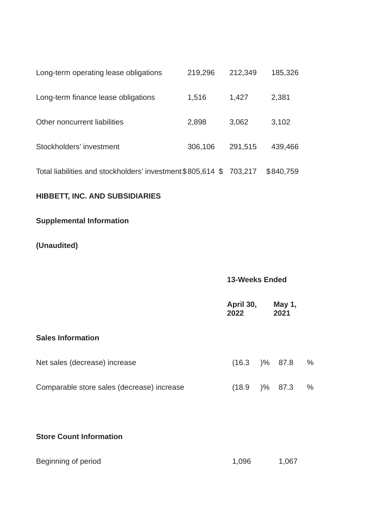| Long-term operating lease obligations                       | 219,296 | 212,349 | 185,326   |
|-------------------------------------------------------------|---------|---------|-----------|
| Long-term finance lease obligations                         | 1,516   | 1,427   | 2,381     |
| Other noncurrent liabilities                                | 2,898   | 3,062   | 3,102     |
| Stockholders' investment                                    | 306,106 | 291,515 | 439,466   |
| Total liabilities and stockholders' investment \$805,614 \$ |         | 703,217 | \$840,759 |

## **HIBBETT, INC. AND SUBSIDIARIES**

## **Supplemental Information**

# **(Unaudited)**

## **13-Weeks Ended**

|                                            | April 30,<br>2022 |        | May 1,<br>2021 |      |
|--------------------------------------------|-------------------|--------|----------------|------|
| <b>Sales Information</b>                   |                   |        |                |      |
| Net sales (decrease) increase              | (16.3)            |        | )% 87.8        | $\%$ |
| Comparable store sales (decrease) increase | (18.9)            | $) \%$ | 87.3           | $\%$ |
|                                            |                   |        |                |      |

## **Store Count Information**

| Beginning of period | 1,096 | 1,067 |
|---------------------|-------|-------|
|---------------------|-------|-------|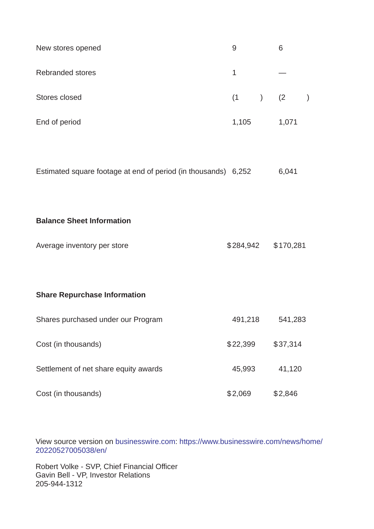| New stores opened | 9           | 6     |  |
|-------------------|-------------|-------|--|
| Rebranded stores  | 1           |       |  |
| Stores closed     | $(1)$ $(2)$ |       |  |
| End of period     | 1,105       | 1,071 |  |

| Estimated square footage at end of period (in thousands) 6,252 |  |  | 6,041 |
|----------------------------------------------------------------|--|--|-------|
|                                                                |  |  |       |

### **Balance Sheet Information**

| Average inventory per store | \$284,942 \$170,281 |  |
|-----------------------------|---------------------|--|
|                             |                     |  |

## **Share Repurchase Information**

| Shares purchased under our Program    | 491,218  | 541,283  |
|---------------------------------------|----------|----------|
| Cost (in thousands)                   | \$22,399 | \$37,314 |
| Settlement of net share equity awards | 45,993   | 41,120   |
| Cost (in thousands)                   | \$2,069  | \$2,846  |

[View source version on b](https://www.businesswire.com/news/home/20220527005038/en/)[usinesswire.co](http://businesswire.com)[m: https://www.businesswire.com/news/home/](https://www.businesswire.com/news/home/20220527005038/en/) 20220527005038/en/

Robert Volke - SVP, Chief Financial Officer Gavin Bell - VP, Investor Relations 205-944-1312